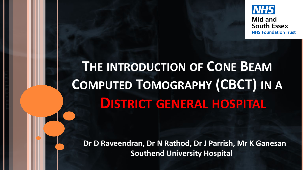

# **THE INTRODUCTION OF CONE BEAM COMPUTED TOMOGRAPHY (CBCT) IN A DISTRICT GENERAL HOSPITAL**

**Dr D Raveendran, Dr N Rathod, Dr J Parrish, Mr K Ganesan Southend University Hospital**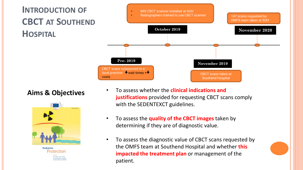



Protection No 172 Cone horm CT for donto Evidence-based quideline

- **Aims & Objectives** To assess whether the **clinical indications and justifications** provided for requesting CBCT scans comply with the SEDENTEXCT guidelines.
	- To assess the **quality of the CBCT images** taken by determining if they are of diagnostic value.
	- To assess the diagnostic value of CBCT scans requested by the OMFS team at Southend Hospital and whether **this impacted the treatment plan** or management of the patient.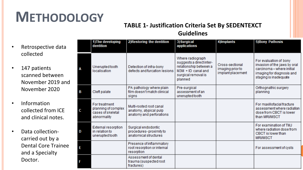## **METHODOLOGY**

## **TABLE 1- Justification Criteria Set By SEDENTEXCT**

#### **Guidelines**

- Retrospective data collected
- 147 patients scanned between November 2019 and November 2020
- Information collected from ICE and clinical notes.
- Data collectioncarried out by a Dental Core Trainee and a Specialty Doctor.

|   | 1) The developing<br>dentition                                           | 2) Restoring the dentition                                                    | 3) Surgical<br>applications                                                                                                      | 4) Implants                                              | <b>5)Bony Pathosis</b>                                                                                                                    |
|---|--------------------------------------------------------------------------|-------------------------------------------------------------------------------|----------------------------------------------------------------------------------------------------------------------------------|----------------------------------------------------------|-------------------------------------------------------------------------------------------------------------------------------------------|
| Α | Unerupted tooth<br>localisation                                          | Detection of infra-bony<br>defects and furcation lesions                      | Where radiograph<br>suggests a direct inter-<br>relationship between a<br>$M3M + ID$ canal and<br>surgical removal is<br>planned | Cross-sectional<br>imaging prior to<br>implant placement | For evaluation of bony<br>invasion of the jaws by oral<br>carcinoma - where initial<br>imaging for diagnosis and<br>staging is inadequate |
| B | Cleft palate                                                             | PA pathology where plain<br>film doesn't match clinical<br>signs              | Pre-surgical<br>assessment of an<br>unerupted tooth                                                                              |                                                          | Orthognathic surgery<br>planning                                                                                                          |
| C | For treatment<br>planning of complex<br>cases of skeletal<br>abnormality | Multi-rooted root canal<br>anatomy, atypical pulp<br>anatomy and perforations |                                                                                                                                  |                                                          | For maxillofacial fracture<br>assessment where radiation<br>dose from CBCT is lower<br>than MRI/MSCT                                      |
| D | <b>External resorption</b><br>in relation to<br>unerupted tooth          | Surgical endodontic<br>procedures-proximity to<br>anatomical structures.      |                                                                                                                                  |                                                          | For examination of TMJ<br>where radiation dose from<br>CBCT is lower than<br><b>MRI/MSCT</b>                                              |
| E |                                                                          | Presence of inflammatory<br>root resorption or internal<br>resorption         |                                                                                                                                  |                                                          | For assessment of cysts                                                                                                                   |
|   |                                                                          | Assessment of dental<br>trauma (suspected root<br>fractures)                  |                                                                                                                                  |                                                          |                                                                                                                                           |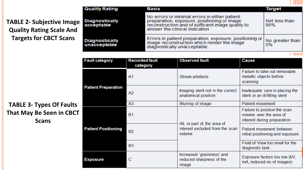| <b>TABLE 2- Subjective Image</b> |  |  |
|----------------------------------|--|--|
| <b>Quality Rating Scale And</b>  |  |  |
| <b>Targets for CBCT Scans</b>    |  |  |

| uality Rating                | Basis                                                                                                                                                                               | Target                |
|------------------------------|-------------------------------------------------------------------------------------------------------------------------------------------------------------------------------------|-----------------------|
| iagnostically<br>cceptable   | No errors or minimal errors in either patient<br>preparation, exposure, positioning or image<br>reconstruction and of sufficient image quality to<br>answer the clinical indication | Not less than<br>95%  |
| iagnostically<br>nacceptable | Errors in patient preparation, exposure, positioning or<br>image reconstruction which render the image<br>diagnostically unacceptable                                               | No greater than<br>5% |

**The Contract** 

|  | <b>Fault category</b>      | <b>Recorded fault</b><br>category | <b>Observed fault</b>                                                     | <b>Cause</b>                                                                           |
|--|----------------------------|-----------------------------------|---------------------------------------------------------------------------|----------------------------------------------------------------------------------------|
|  | <b>Patient Preparation</b> | A1                                | Streak artefacts                                                          | Failure to take out removable<br>metallic objects before<br>scanning                   |
|  |                            | A <sub>2</sub>                    | Imaging stent not in the correct<br>anatomical position                   | Inadequate care in placing the<br>stent or an ill-fitting stent                        |
|  |                            | A <sub>3</sub>                    | Blurring of image                                                         | Patient movement                                                                       |
|  | <b>Patient Positioning</b> | <b>B1</b>                         |                                                                           | Failure to position the scan<br>volume over the area of<br>interest during preparation |
|  |                            | <b>B2</b>                         | All, or part of, the area of<br>interest excluded from the scan<br>volume | Patient movement between<br>initial positioning and exposure                           |
|  |                            | <b>B3</b>                         |                                                                           | Field of View too small for the<br>diagnostic task                                     |
|  | <b>Exposure</b>            | C                                 | Increased 'graininess' and<br>reduced sharpness of the<br>image           | Exposure factors too low (kV,<br>mA, reduced no of images)                             |

### **TABLE 3- Types Of Faults That May Be Seen in CBCT Scans**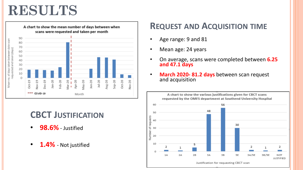## **RESULTS**



## **CBCT JUSTIFICATION**

- **98.6%** Justified
- **1.4%** Not justified

## **REQUEST AND ACQUISITION TIME**

- Age range: 9 and 81
- Mean age: 24 years
- On average, scans were completed between **6.25 and 47.1 days**
- **March 2020- 81.2 days** between scan request and acquisition

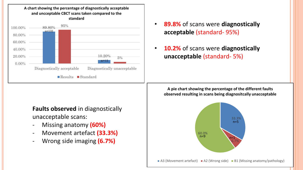

### **Faults observed** in diagnostically unacceptable scans:

- Missing anatomy **(60%)**
- Movement artefact **(33.3%)**
- Wrong side imaging **(6.7%)**
- **89.8%** of scans were **diagnostically acceptable** (standard- 95%)
- **10.2%** of scans were **diagnostically unacceptable** (standard- 5%)

**A pie chart showing the percentage of the different faults observed resulting in scans being diagnositcally unacceptable** 

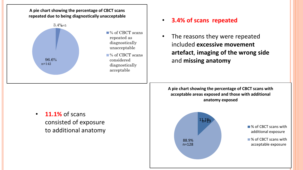



### • **3.4% of scans repeated**

• The reasons they were repeated included **excessive movement artefact**, **imaging of the wrong side**  and **missing anatomy**

**A pie chart showing the percentage of CBCT scans with acceptable areas exposed and those with additional anatomy exposed**



• **11.1%** of scans consisted of exposure to additional anatomy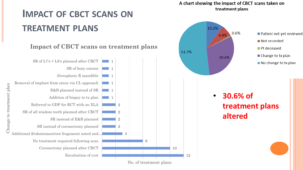#### A chart showing the impact of CBCT scans taken on treatment plans

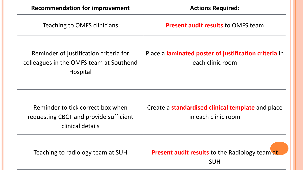| <b>Recommendation for improvement</b>                                                           | <b>Actions Required:</b>                                                  |  |
|-------------------------------------------------------------------------------------------------|---------------------------------------------------------------------------|--|
| Teaching to OMFS clinicians                                                                     | <b>Present audit results to OMFS team</b>                                 |  |
| Reminder of justification criteria for<br>colleagues in the OMFS team at Southend<br>Hospital   | Place a laminated poster of justification criteria in<br>each clinic room |  |
| Reminder to tick correct box when<br>requesting CBCT and provide sufficient<br>clinical details | Create a standardised clinical template and place<br>in each clinic room  |  |
| Teaching to radiology team at SUH                                                               | <b>Present audit results</b> to the Radiology team at<br><b>SUH</b>       |  |